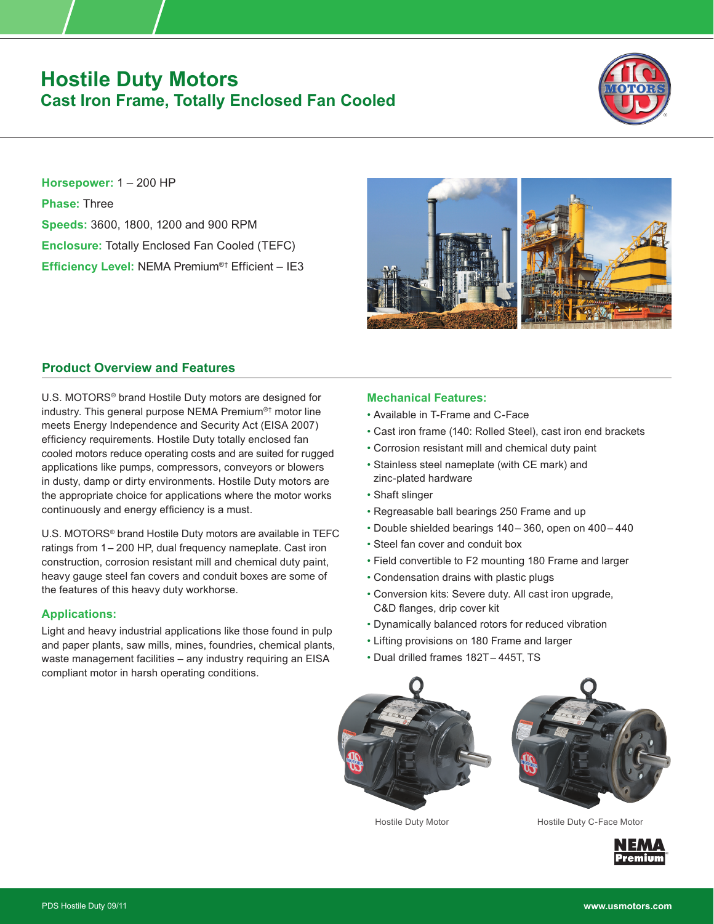# **Hostile Duty Motors Cast Iron Frame, Totally Enclosed Fan Cooled**



**Horsepower:** 1 – 200 HP **Phase:** Three **Speeds:** 3600, 1800, 1200 and 900 RPM **Enclosure:** Totally Enclosed Fan Cooled (TEFC) **Efficiency Level:** NEMA Premium®† Efficient – IE3



# **Product Overview and Features**

U.S. MOTORS® brand Hostile Duty motors are designed for industry. This general purpose NEMA Premium®† motor line meets Energy Independence and Security Act (EISA 2007) efficiency requirements. Hostile Duty totally enclosed fan cooled motors reduce operating costs and are suited for rugged applications like pumps, compressors, conveyors or blowers in dusty, damp or dirty environments. Hostile Duty motors are the appropriate choice for applications where the motor works continuously and energy efficiency is a must.

U.S. MOTORS® brand Hostile Duty motors are available in TEFC ratings from 1–  200 HP, dual frequency nameplate. Cast iron construction, corrosion resistant mill and chemical duty paint, heavy gauge steel fan covers and conduit boxes are some of the features of this heavy duty workhorse.

### **Applications:**

Light and heavy industrial applications like those found in pulp and paper plants, saw mills, mines, foundries, chemical plants, waste management facilities – any industry requiring an EISA compliant motor in harsh operating conditions.

## **Mechanical Features:**

- Available in T-Frame and C-Face
- Cast iron frame (140: Rolled Steel), cast iron end brackets
- Corrosion resistant mill and chemical duty paint
- Stainless steel nameplate (with CE mark) and zinc-plated hardware
- Shaft slinger
- Regreasable ball bearings 250 Frame and up
- Double shielded bearings 140–  360, open on 400–  440
- Steel fan cover and conduit box
- Field convertible to F2 mounting 180 Frame and larger
- Condensation drains with plastic plugs
- Conversion kits: Severe duty. All cast iron upgrade, C&D flanges, drip cover kit
- Dynamically balanced rotors for reduced vibration
- Lifting provisions on 180 Frame and larger
- Dual drilled frames 182T–  445T, TS



Hostile Duty Motor **Hostile Duty C-Face Motor**